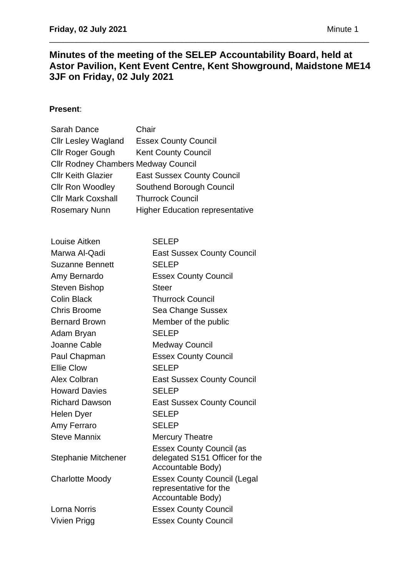# **Minutes of the meeting of the SELEP Accountability Board, held at Astor Pavilion, Kent Event Centre, Kent Showground, Maidstone ME14 3JF on Friday, 02 July 2021**

\_\_\_\_\_\_\_\_\_\_\_\_\_\_\_\_\_\_\_\_\_\_\_\_\_\_\_\_\_\_\_\_\_\_\_\_\_\_\_\_\_\_\_\_\_\_\_\_\_\_\_\_\_\_\_\_\_\_\_\_\_\_\_\_\_\_\_\_\_\_

# **Present**:

| Sarah Dance                                | Chair                                  |
|--------------------------------------------|----------------------------------------|
| <b>Cllr Lesley Wagland</b>                 | <b>Essex County Council</b>            |
| <b>Cllr Roger Gough</b>                    | <b>Kent County Council</b>             |
| <b>Cllr Rodney Chambers Medway Council</b> |                                        |
| <b>Cllr Keith Glazier</b>                  | <b>East Sussex County Council</b>      |
| <b>Cllr Ron Woodley</b>                    | Southend Borough Council               |
| <b>Cllr Mark Coxshall</b>                  | <b>Thurrock Council</b>                |
| <b>Rosemary Nunn</b>                       | <b>Higher Education representative</b> |
|                                            |                                        |

| Louise Aitken              | <b>SELEP</b>                                                                           |
|----------------------------|----------------------------------------------------------------------------------------|
| Marwa Al-Qadi              | <b>East Sussex County Council</b>                                                      |
| <b>Suzanne Bennett</b>     | <b>SELEP</b>                                                                           |
| Amy Bernardo               | <b>Essex County Council</b>                                                            |
| Steven Bishop              | <b>Steer</b>                                                                           |
| <b>Colin Black</b>         | <b>Thurrock Council</b>                                                                |
| <b>Chris Broome</b>        | Sea Change Sussex                                                                      |
| <b>Bernard Brown</b>       | Member of the public                                                                   |
| Adam Bryan                 | <b>SELEP</b>                                                                           |
| Joanne Cable               | <b>Medway Council</b>                                                                  |
| Paul Chapman               | <b>Essex County Council</b>                                                            |
| <b>Ellie Clow</b>          | <b>SELEP</b>                                                                           |
| Alex Colbran               | <b>East Sussex County Council</b>                                                      |
| <b>Howard Davies</b>       | <b>SELEP</b>                                                                           |
| <b>Richard Dawson</b>      | <b>East Sussex County Council</b>                                                      |
| Helen Dyer                 | <b>SELEP</b>                                                                           |
| Amy Ferraro                | <b>SELEP</b>                                                                           |
| <b>Steve Mannix</b>        | <b>Mercury Theatre</b>                                                                 |
| <b>Stephanie Mitchener</b> | <b>Essex County Council (as</b><br>delegated S151 Officer for the<br>Accountable Body) |
| <b>Charlotte Moody</b>     | <b>Essex County Council (Legal</b><br>representative for the<br>Accountable Body)      |
| <b>Lorna Norris</b>        | <b>Essex County Council</b>                                                            |
| <b>Vivien Prigg</b>        | <b>Essex County Council</b>                                                            |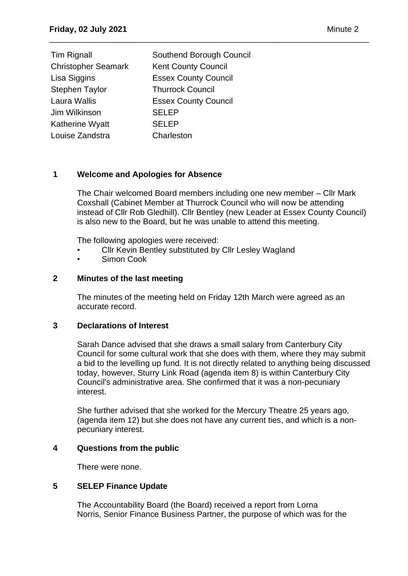| Tim Rignall                | Southend Borough Council    |
|----------------------------|-----------------------------|
| <b>Christopher Seamark</b> | <b>Kent County Council</b>  |
| Lisa Siggins               | <b>Essex County Council</b> |
| <b>Stephen Taylor</b>      | <b>Thurrock Council</b>     |
| Laura Wallis               | <b>Essex County Council</b> |
| Jim Wilkinson              | <b>SELEP</b>                |
| Katherine Wyatt            | <b>SELEP</b>                |
| Louise Zandstra            | Charleston                  |

# **1 Welcome and Apologies for Absence**

The Chair welcomed Board members including one new member – Cllr Mark Coxshall (Cabinet Member at Thurrock Council who will now be attending instead of Cllr Rob Gledhill). Cllr Bentley (new Leader at Essex County Council) is also new to the Board, but he was unable to attend this meeting.

\_\_\_\_\_\_\_\_\_\_\_\_\_\_\_\_\_\_\_\_\_\_\_\_\_\_\_\_\_\_\_\_\_\_\_\_\_\_\_\_\_\_\_\_\_\_\_\_\_\_\_\_\_\_\_\_\_\_\_\_\_\_\_\_\_\_\_\_\_\_

The following apologies were received:

- Cllr Kevin Bentley substituted by Cllr Lesley Wagland
- Simon Cook

## **2 Minutes of the last meeting**

The minutes of the meeting held on Friday 12th March were agreed as an accurate record.

## **3 Declarations of Interest**

Sarah Dance advised that she draws a small salary from Canterbury City Council for some cultural work that she does with them, where they may submit a bid to the levelling up fund. It is not directly related to anything being discussed today, however, Sturry Link Road (agenda item 8) is within Canterbury City Council's administrative area. She confirmed that it was a non-pecuniary interest.

She further advised that she worked for the Mercury Theatre 25 years ago, (agenda item 12) but she does not have any current ties, and which is a nonpecuniary interest.

## **4 Questions from the public**

There were none.

## **5 SELEP Finance Update**

The Accountability Board (the Board) received a report from Lorna Norris, Senior Finance Business Partner, the purpose of which was for the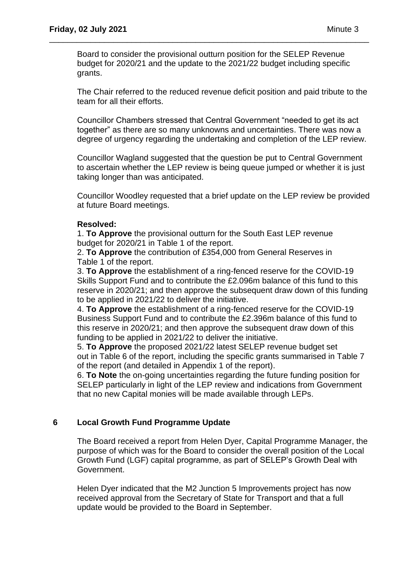Board to consider the provisional outturn position for the SELEP Revenue budget for 2020/21 and the update to the 2021/22 budget including specific grants.

\_\_\_\_\_\_\_\_\_\_\_\_\_\_\_\_\_\_\_\_\_\_\_\_\_\_\_\_\_\_\_\_\_\_\_\_\_\_\_\_\_\_\_\_\_\_\_\_\_\_\_\_\_\_\_\_\_\_\_\_\_\_\_\_\_\_\_\_\_\_

The Chair referred to the reduced revenue deficit position and paid tribute to the team for all their efforts.

Councillor Chambers stressed that Central Government "needed to get its act together" as there are so many unknowns and uncertainties. There was now a degree of urgency regarding the undertaking and completion of the LEP review.

Councillor Wagland suggested that the question be put to Central Government to ascertain whether the LEP review is being queue jumped or whether it is just taking longer than was anticipated.

Councillor Woodley requested that a brief update on the LEP review be provided at future Board meetings.

## **Resolved:**

1. **To Approve** the provisional outturn for the South East LEP revenue budget for 2020/21 in Table 1 of the report.

2. **To Approve** the contribution of £354,000 from General Reserves in Table 1 of the report.

3. **To Approve** the establishment of a ring-fenced reserve for the COVID-19 Skills Support Fund and to contribute the £2.096m balance of this fund to this reserve in 2020/21; and then approve the subsequent draw down of this funding to be applied in 2021/22 to deliver the initiative.

4. **To Approve** the establishment of a ring-fenced reserve for the COVID-19 Business Support Fund and to contribute the £2.396m balance of this fund to this reserve in 2020/21; and then approve the subsequent draw down of this funding to be applied in 2021/22 to deliver the initiative.

5. **To Approve** the proposed 2021/22 latest SELEP revenue budget set out in Table 6 of the report, including the specific grants summarised in Table 7 of the report (and detailed in Appendix 1 of the report).

6. **To Note** the on-going uncertainties regarding the future funding position for SELEP particularly in light of the LEP review and indications from Government that no new Capital monies will be made available through LEPs.

## **6 Local Growth Fund Programme Update**

The Board received a report from Helen Dyer, Capital Programme Manager, the purpose of which was for the Board to consider the overall position of the Local Growth Fund (LGF) capital programme, as part of SELEP's Growth Deal with Government.

Helen Dyer indicated that the M2 Junction 5 Improvements project has now received approval from the Secretary of State for Transport and that a full update would be provided to the Board in September.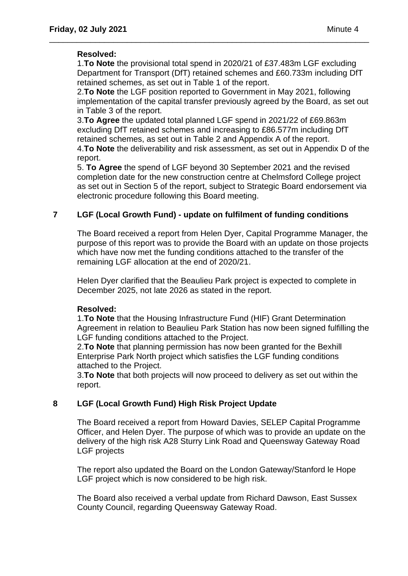## **Resolved:**

1.**To Note** the provisional total spend in 2020/21 of £37.483m LGF excluding Department for Transport (DfT) retained schemes and £60.733m including DfT retained schemes, as set out in Table 1 of the report.

\_\_\_\_\_\_\_\_\_\_\_\_\_\_\_\_\_\_\_\_\_\_\_\_\_\_\_\_\_\_\_\_\_\_\_\_\_\_\_\_\_\_\_\_\_\_\_\_\_\_\_\_\_\_\_\_\_\_\_\_\_\_\_\_\_\_\_\_\_\_

2.**To Note** the LGF position reported to Government in May 2021, following implementation of the capital transfer previously agreed by the Board, as set out in Table 3 of the report.

3.**To Agree** the updated total planned LGF spend in 2021/22 of £69.863m excluding DfT retained schemes and increasing to £86.577m including DfT retained schemes, as set out in Table 2 and Appendix A of the report.

4.**To Note** the deliverability and risk assessment, as set out in Appendix D of the report.

5. **To Agree** the spend of LGF beyond 30 September 2021 and the revised completion date for the new construction centre at Chelmsford College project as set out in Section 5 of the report, subject to Strategic Board endorsement via electronic procedure following this Board meeting.

# **7 LGF (Local Growth Fund) - update on fulfilment of funding conditions**

The Board received a report from Helen Dyer, Capital Programme Manager, the purpose of this report was to provide the Board with an update on those projects which have now met the funding conditions attached to the transfer of the remaining LGF allocation at the end of 2020/21.

Helen Dyer clarified that the Beaulieu Park project is expected to complete in December 2025, not late 2026 as stated in the report.

## **Resolved:**

1.**To Note** that the Housing Infrastructure Fund (HIF) Grant Determination Agreement in relation to Beaulieu Park Station has now been signed fulfilling the LGF funding conditions attached to the Project.

2.**To Note** that planning permission has now been granted for the Bexhill Enterprise Park North project which satisfies the LGF funding conditions attached to the Project.

3.**To Note** that both projects will now proceed to delivery as set out within the report.

## **8 LGF (Local Growth Fund) High Risk Project Update**

The Board received a report from Howard Davies, SELEP Capital Programme Officer, and Helen Dyer. The purpose of which was to provide an update on the delivery of the high risk A28 Sturry Link Road and Queensway Gateway Road LGF projects

The report also updated the Board on the London Gateway/Stanford le Hope LGF project which is now considered to be high risk.

The Board also received a verbal update from Richard Dawson, East Sussex County Council, regarding Queensway Gateway Road.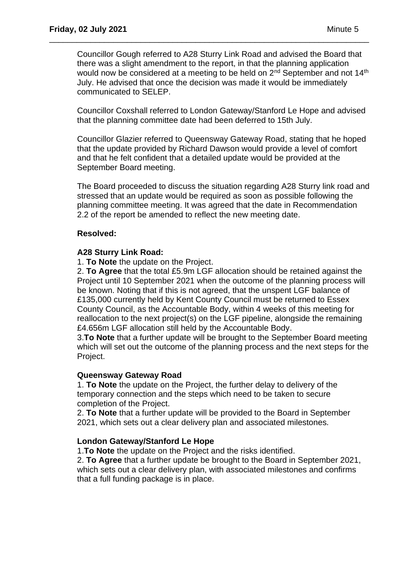Councillor Gough referred to A28 Sturry Link Road and advised the Board that there was a slight amendment to the report, in that the planning application would now be considered at a meeting to be held on  $2<sup>nd</sup>$  September and not 14<sup>th</sup> July. He advised that once the decision was made it would be immediately communicated to SELEP.

\_\_\_\_\_\_\_\_\_\_\_\_\_\_\_\_\_\_\_\_\_\_\_\_\_\_\_\_\_\_\_\_\_\_\_\_\_\_\_\_\_\_\_\_\_\_\_\_\_\_\_\_\_\_\_\_\_\_\_\_\_\_\_\_\_\_\_\_\_\_

Councillor Coxshall referred to London Gateway/Stanford Le Hope and advised that the planning committee date had been deferred to 15th July.

Councillor Glazier referred to Queensway Gateway Road, stating that he hoped that the update provided by Richard Dawson would provide a level of comfort and that he felt confident that a detailed update would be provided at the September Board meeting.

The Board proceeded to discuss the situation regarding A28 Sturry link road and stressed that an update would be required as soon as possible following the planning committee meeting. It was agreed that the date in Recommendation 2.2 of the report be amended to reflect the new meeting date.

#### **Resolved:**

#### **A28 Sturry Link Road:**

1. **To Note** the update on the Project.

2. **To Agree** that the total £5.9m LGF allocation should be retained against the Project until 10 September 2021 when the outcome of the planning process will be known. Noting that if this is not agreed, that the unspent LGF balance of £135,000 currently held by Kent County Council must be returned to Essex County Council, as the Accountable Body, within 4 weeks of this meeting for reallocation to the next project(s) on the LGF pipeline, alongside the remaining £4.656m LGF allocation still held by the Accountable Body.

3.**To Note** that a further update will be brought to the September Board meeting which will set out the outcome of the planning process and the next steps for the Project.

#### **Queensway Gateway Road**

1. **To Note** the update on the Project, the further delay to delivery of the temporary connection and the steps which need to be taken to secure completion of the Project.

2. **To Note** that a further update will be provided to the Board in September 2021, which sets out a clear delivery plan and associated milestones.

## **London Gateway/Stanford Le Hope**

1.**To Note** the update on the Project and the risks identified.

2. **To Agree** that a further update be brought to the Board in September 2021, which sets out a clear delivery plan, with associated milestones and confirms that a full funding package is in place.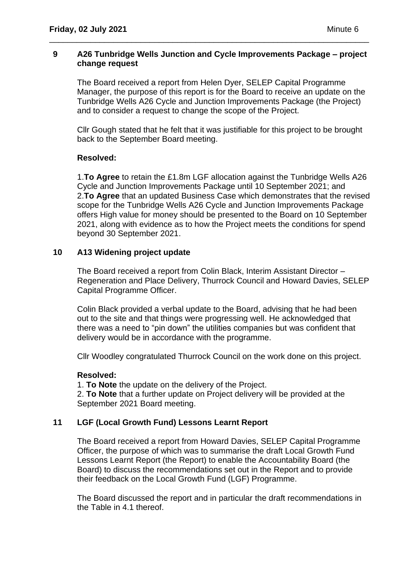## **9 A26 Tunbridge Wells Junction and Cycle Improvements Package – project change request**

\_\_\_\_\_\_\_\_\_\_\_\_\_\_\_\_\_\_\_\_\_\_\_\_\_\_\_\_\_\_\_\_\_\_\_\_\_\_\_\_\_\_\_\_\_\_\_\_\_\_\_\_\_\_\_\_\_\_\_\_\_\_\_\_\_\_\_\_\_\_

The Board received a report from Helen Dyer, SELEP Capital Programme Manager, the purpose of this report is for the Board to receive an update on the Tunbridge Wells A26 Cycle and Junction Improvements Package (the Project) and to consider a request to change the scope of the Project.

Cllr Gough stated that he felt that it was justifiable for this project to be brought back to the September Board meeting.

# **Resolved:**

1.**To Agree** to retain the £1.8m LGF allocation against the Tunbridge Wells A26 Cycle and Junction Improvements Package until 10 September 2021; and 2.**To Agree** that an updated Business Case which demonstrates that the revised scope for the Tunbridge Wells A26 Cycle and Junction Improvements Package offers High value for money should be presented to the Board on 10 September 2021, along with evidence as to how the Project meets the conditions for spend beyond 30 September 2021.

## **10 A13 Widening project update**

The Board received a report from Colin Black, Interim Assistant Director – Regeneration and Place Delivery, Thurrock Council and Howard Davies, SELEP Capital Programme Officer.

Colin Black provided a verbal update to the Board, advising that he had been out to the site and that things were progressing well. He acknowledged that there was a need to "pin down" the utilities companies but was confident that delivery would be in accordance with the programme.

Cllr Woodley congratulated Thurrock Council on the work done on this project.

## **Resolved:**

1. **To Note** the update on the delivery of the Project.

2. **To Note** that a further update on Project delivery will be provided at the September 2021 Board meeting.

# **11 LGF (Local Growth Fund) Lessons Learnt Report**

The Board received a report from Howard Davies, SELEP Capital Programme Officer, the purpose of which was to summarise the draft Local Growth Fund Lessons Learnt Report (the Report) to enable the Accountability Board (the Board) to discuss the recommendations set out in the Report and to provide their feedback on the Local Growth Fund (LGF) Programme.

The Board discussed the report and in particular the draft recommendations in the Table in 4.1 thereof.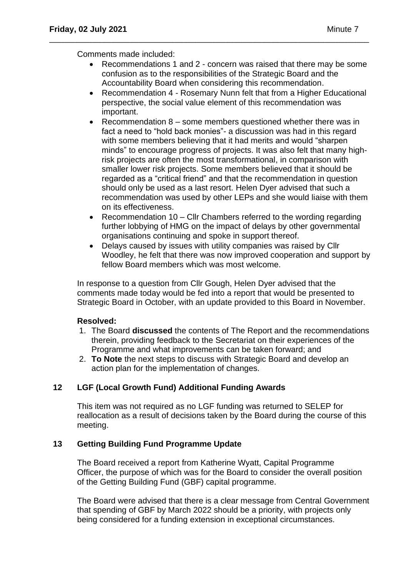Comments made included:

• Recommendations 1 and 2 - concern was raised that there may be some confusion as to the responsibilities of the Strategic Board and the Accountability Board when considering this recommendation.

\_\_\_\_\_\_\_\_\_\_\_\_\_\_\_\_\_\_\_\_\_\_\_\_\_\_\_\_\_\_\_\_\_\_\_\_\_\_\_\_\_\_\_\_\_\_\_\_\_\_\_\_\_\_\_\_\_\_\_\_\_\_\_\_\_\_\_\_\_\_

- Recommendation 4 Rosemary Nunn felt that from a Higher Educational perspective, the social value element of this recommendation was important.
- Recommendation 8 some members questioned whether there was in fact a need to "hold back monies"- a discussion was had in this regard with some members believing that it had merits and would "sharpen minds" to encourage progress of projects. It was also felt that many highrisk projects are often the most transformational, in comparison with smaller lower risk projects. Some members believed that it should be regarded as a "critical friend" and that the recommendation in question should only be used as a last resort. Helen Dyer advised that such a recommendation was used by other LEPs and she would liaise with them on its effectiveness.
- Recommendation 10 Cllr Chambers referred to the wording regarding further lobbying of HMG on the impact of delays by other governmental organisations continuing and spoke in support thereof.
- Delays caused by issues with utility companies was raised by Cllr Woodley, he felt that there was now improved cooperation and support by fellow Board members which was most welcome.

In response to a question from Cllr Gough, Helen Dyer advised that the comments made today would be fed into a report that would be presented to Strategic Board in October, with an update provided to this Board in November.

## **Resolved:**

- 1. The Board **discussed** the contents of The Report and the recommendations therein, providing feedback to the Secretariat on their experiences of the Programme and what improvements can be taken forward; and
- 2. **To Note** the next steps to discuss with Strategic Board and develop an action plan for the implementation of changes.

## **12 LGF (Local Growth Fund) Additional Funding Awards**

This item was not required as no LGF funding was returned to SELEP for reallocation as a result of decisions taken by the Board during the course of this meeting.

## **13 Getting Building Fund Programme Update**

The Board received a report from Katherine Wyatt, Capital Programme Officer, the purpose of which was for the Board to consider the overall position of the Getting Building Fund (GBF) capital programme.

The Board were advised that there is a clear message from Central Government that spending of GBF by March 2022 should be a priority, with projects only being considered for a funding extension in exceptional circumstances.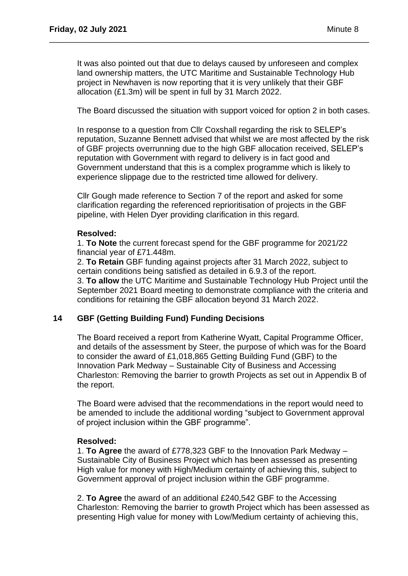It was also pointed out that due to delays caused by unforeseen and complex land ownership matters, the UTC Maritime and Sustainable Technology Hub project in Newhaven is now reporting that it is very unlikely that their GBF allocation (£1.3m) will be spent in full by 31 March 2022.

\_\_\_\_\_\_\_\_\_\_\_\_\_\_\_\_\_\_\_\_\_\_\_\_\_\_\_\_\_\_\_\_\_\_\_\_\_\_\_\_\_\_\_\_\_\_\_\_\_\_\_\_\_\_\_\_\_\_\_\_\_\_\_\_\_\_\_\_\_\_

The Board discussed the situation with support voiced for option 2 in both cases.

In response to a question from Cllr Coxshall regarding the risk to SELEP's reputation, Suzanne Bennett advised that whilst we are most affected by the risk of GBF projects overrunning due to the high GBF allocation received, SELEP's reputation with Government with regard to delivery is in fact good and Government understand that this is a complex programme which is likely to experience slippage due to the restricted time allowed for delivery.

Cllr Gough made reference to Section 7 of the report and asked for some clarification regarding the referenced reprioritisation of projects in the GBF pipeline, with Helen Dyer providing clarification in this regard.

#### **Resolved:**

1. **To Note** the current forecast spend for the GBF programme for 2021/22 financial year of £71.448m.

2. **To Retain** GBF funding against projects after 31 March 2022, subject to certain conditions being satisfied as detailed in 6.9.3 of the report.

3. **To allow** the UTC Maritime and Sustainable Technology Hub Project until the September 2021 Board meeting to demonstrate compliance with the criteria and conditions for retaining the GBF allocation beyond 31 March 2022.

# **14 GBF (Getting Building Fund) Funding Decisions**

The Board received a report from Katherine Wyatt, Capital Programme Officer, and details of the assessment by Steer, the purpose of which was for the Board to consider the award of £1,018,865 Getting Building Fund (GBF) to the Innovation Park Medway – Sustainable City of Business and Accessing Charleston: Removing the barrier to growth Projects as set out in Appendix B of the report.

The Board were advised that the recommendations in the report would need to be amended to include the additional wording "subject to Government approval of project inclusion within the GBF programme".

## **Resolved:**

1. **To Agree** the award of £778,323 GBF to the Innovation Park Medway – Sustainable City of Business Project which has been assessed as presenting High value for money with High/Medium certainty of achieving this, subject to Government approval of project inclusion within the GBF programme.

2. **To Agree** the award of an additional £240,542 GBF to the Accessing Charleston: Removing the barrier to growth Project which has been assessed as presenting High value for money with Low/Medium certainty of achieving this,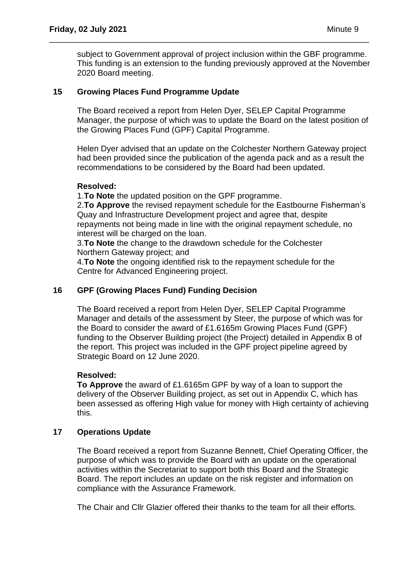subject to Government approval of project inclusion within the GBF programme. This funding is an extension to the funding previously approved at the November 2020 Board meeting.

\_\_\_\_\_\_\_\_\_\_\_\_\_\_\_\_\_\_\_\_\_\_\_\_\_\_\_\_\_\_\_\_\_\_\_\_\_\_\_\_\_\_\_\_\_\_\_\_\_\_\_\_\_\_\_\_\_\_\_\_\_\_\_\_\_\_\_\_\_\_

# **15 Growing Places Fund Programme Update**

The Board received a report from Helen Dyer, SELEP Capital Programme Manager, the purpose of which was to update the Board on the latest position of the Growing Places Fund (GPF) Capital Programme.

Helen Dyer advised that an update on the Colchester Northern Gateway project had been provided since the publication of the agenda pack and as a result the recommendations to be considered by the Board had been updated.

## **Resolved:**

1.**To Note** the updated position on the GPF programme.

2.**To Approve** the revised repayment schedule for the Eastbourne Fisherman's Quay and Infrastructure Development project and agree that, despite repayments not being made in line with the original repayment schedule, no interest will be charged on the loan.

3.**To Note** the change to the drawdown schedule for the Colchester Northern Gateway project; and

4.**To Note** the ongoing identified risk to the repayment schedule for the Centre for Advanced Engineering project.

## **16 GPF (Growing Places Fund) Funding Decision**

The Board received a report from Helen Dyer, SELEP Capital Programme Manager and details of the assessment by Steer, the purpose of which was for the Board to consider the award of £1.6165m Growing Places Fund (GPF) funding to the Observer Building project (the Project) detailed in Appendix B of the report. This project was included in the GPF project pipeline agreed by Strategic Board on 12 June 2020.

## **Resolved:**

**To Approve** the award of £1.6165m GPF by way of a loan to support the delivery of the Observer Building project, as set out in Appendix C, which has been assessed as offering High value for money with High certainty of achieving this.

## **17 Operations Update**

The Board received a report from Suzanne Bennett, Chief Operating Officer, the purpose of which was to provide the Board with an update on the operational activities within the Secretariat to support both this Board and the Strategic Board. The report includes an update on the risk register and information on compliance with the Assurance Framework.

The Chair and Cllr Glazier offered their thanks to the team for all their efforts.